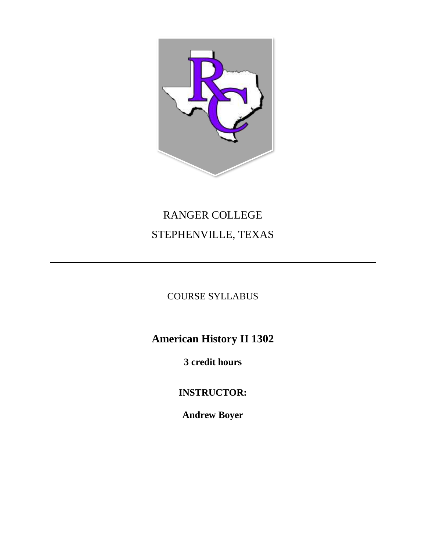

# RANGER COLLEGE STEPHENVILLE, TEXAS

# COURSE SYLLABUS

# **American History II 1302**

**3 credit hours**

**INSTRUCTOR:**

**Andrew Boyer**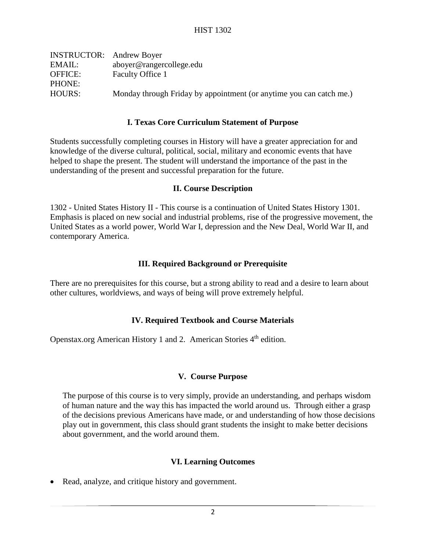| <b>INSTRUCTOR:</b> Andrew Boyer |                                                                     |
|---------------------------------|---------------------------------------------------------------------|
| EMAIL:                          | aboyer@rangercollege.edu                                            |
| <b>OFFICE:</b>                  | Faculty Office 1                                                    |
| PHONE:                          |                                                                     |
| HOURS:                          | Monday through Friday by appointment (or anytime you can catch me.) |
|                                 |                                                                     |

#### **I. Texas Core Curriculum Statement of Purpose**

Students successfully completing courses in History will have a greater appreciation for and knowledge of the diverse cultural, political, social, military and economic events that have helped to shape the present. The student will understand the importance of the past in the understanding of the present and successful preparation for the future.

#### **II. Course Description**

1302 - United States History II - This course is a continuation of United States History 1301. Emphasis is placed on new social and industrial problems, rise of the progressive movement, the United States as a world power, World War I, depression and the New Deal, World War II, and contemporary America.

## **III. Required Background or Prerequisite**

There are no prerequisites for this course, but a strong ability to read and a desire to learn about other cultures, worldviews, and ways of being will prove extremely helpful.

## **IV. Required Textbook and Course Materials**

Openstax.org American History 1 and 2. American Stories 4<sup>th</sup> edition.

#### **V. Course Purpose**

The purpose of this course is to very simply, provide an understanding, and perhaps wisdom of human nature and the way this has impacted the world around us. Through either a grasp of the decisions previous Americans have made, or and understanding of how those decisions play out in government, this class should grant students the insight to make better decisions about government, and the world around them.

#### **VI. Learning Outcomes**

• Read, analyze, and critique history and government.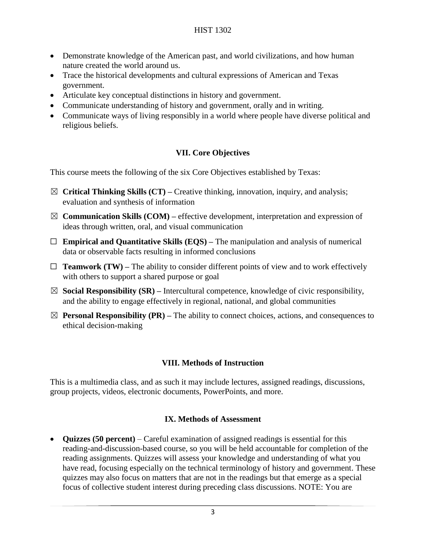- Demonstrate knowledge of the American past, and world civilizations, and how human nature created the world around us.
- Trace the historical developments and cultural expressions of American and Texas government.
- Articulate key conceptual distinctions in history and government.
- Communicate understanding of history and government, orally and in writing.
- Communicate ways of living responsibly in a world where people have diverse political and religious beliefs.

# **VII. Core Objectives**

This course meets the following of the six Core Objectives established by Texas:

- ☒ **Critical Thinking Skills (CT) –** Creative thinking, innovation, inquiry, and analysis; evaluation and synthesis of information
- $\boxtimes$  **Communication Skills (COM)** effective development, interpretation and expression of ideas through written, oral, and visual communication
- ☐ **Empirical and Quantitative Skills (EQS) –** The manipulation and analysis of numerical data or observable facts resulting in informed conclusions
- $\Box$  **Teamwork (TW)** The ability to consider different points of view and to work effectively with others to support a shared purpose or goal
- $\boxtimes$  **Social Responsibility (SR)** Intercultural competence, knowledge of civic responsibility, and the ability to engage effectively in regional, national, and global communities
- $\boxtimes$  **Personal Responsibility (PR)** The ability to connect choices, actions, and consequences to ethical decision-making

# **VIII. Methods of Instruction**

This is a multimedia class, and as such it may include lectures, assigned readings, discussions, group projects, videos, electronic documents, PowerPoints, and more.

## **IX. Methods of Assessment**

• **Quizzes (50 percent)** – Careful examination of assigned readings is essential for this reading-and-discussion-based course, so you will be held accountable for completion of the reading assignments. Quizzes will assess your knowledge and understanding of what you have read, focusing especially on the technical terminology of history and government. These quizzes may also focus on matters that are not in the readings but that emerge as a special focus of collective student interest during preceding class discussions. NOTE: You are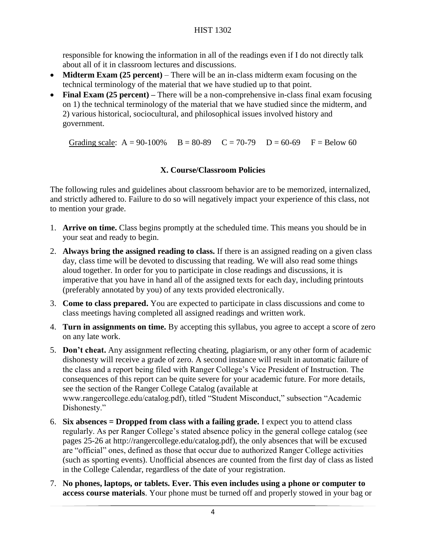responsible for knowing the information in all of the readings even if I do not directly talk about all of it in classroom lectures and discussions.

- **Midterm Exam (25 percent)** There will be an in-class midterm exam focusing on the technical terminology of the material that we have studied up to that point.
- **Final Exam (25 percent) –** There will be a non-comprehensive in-class final exam focusing on 1) the technical terminology of the material that we have studied since the midterm, and 2) various historical, sociocultural, and philosophical issues involved history and government.

Grading scale:  $A = 90-100\%$   $B = 80-89$   $C = 70-79$   $D = 60-69$   $F = Below 60$ 

# **X. Course/Classroom Policies**

The following rules and guidelines about classroom behavior are to be memorized, internalized, and strictly adhered to. Failure to do so will negatively impact your experience of this class, not to mention your grade.

- 1. **Arrive on time.** Class begins promptly at the scheduled time. This means you should be in your seat and ready to begin.
- 2. **Always bring the assigned reading to class.** If there is an assigned reading on a given class day, class time will be devoted to discussing that reading. We will also read some things aloud together. In order for you to participate in close readings and discussions, it is imperative that you have in hand all of the assigned texts for each day, including printouts (preferably annotated by you) of any texts provided electronically.
- 3. **Come to class prepared.** You are expected to participate in class discussions and come to class meetings having completed all assigned readings and written work.
- 4. **Turn in assignments on time.** By accepting this syllabus, you agree to accept a score of zero on any late work.
- 5. **Don't cheat.** Any assignment reflecting cheating, plagiarism, or any other form of academic dishonesty will receive a grade of zero. A second instance will result in automatic failure of the class and a report being filed with Ranger College's Vice President of Instruction. The consequences of this report can be quite severe for your academic future. For more details, see the section of the Ranger College Catalog (available at www.rangercollege.edu/catalog.pdf), titled "Student Misconduct," subsection "Academic Dishonesty."
- 6. **Six absences = Dropped from class with a failing grade.** I expect you to attend class regularly. As per Ranger College's stated absence policy in the general college catalog (see pages 25-26 at http://rangercollege.edu/catalog.pdf), the only absences that will be excused are "official" ones, defined as those that occur due to authorized Ranger College activities (such as sporting events). Unofficial absences are counted from the first day of class as listed in the College Calendar, regardless of the date of your registration.
- 7. **No phones, laptops, or tablets. Ever. This even includes using a phone or computer to access course materials**. Your phone must be turned off and properly stowed in your bag or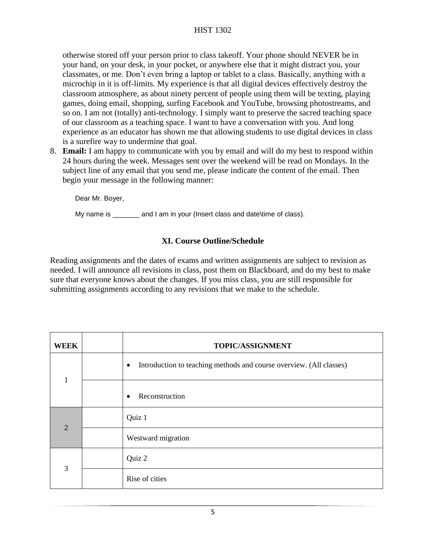# HIST 1302

otherwise stored off your person prior to class takeoff. Your phone should NEVER be in your hand, on your desk, in your pocket, or anywhere else that it might distract you, your classmates, or me. Don't even bring a laptop or tablet to a class. Basically, anything with a microchip in it is off-limits. My experience is that all digital devices effectively destroy the classroom atmosphere, as about ninety percent of people using them will be texting, playing games, doing email, shopping, surfing Facebook and YouTube, browsing photostreams, and so on. I am not (totally) anti-technology. I simply want to preserve the sacred teaching space of our classroom as a teaching space. I want to have a conversation with you. And long experience as an educator has shown me that allowing students to use digital devices in class is a surefire way to undermine that goal.

8. **Email:** I am happy to communicate with you by email and will do my best to respond within 24 hours during the week. Messages sent over the weekend will be read on Mondays. In the subject line of any email that you send me, please indicate the content of the email. Then begin your message in the following manner:

Dear Mr. Boyer,

My name is \_\_\_\_\_\_\_ and I am in your (Insert class and date\time of class).

## **XI. Course Outline/Schedule**

Reading assignments and the dates of exams and written assignments are subject to revision as needed. I will announce all revisions in class, post them on Blackboard, and do my best to make sure that everyone knows about the changes. If you miss class, you are still responsible for submitting assignments according to any revisions that we make to the schedule.

| <b>WEEK</b>    | TOPIC/ASSIGNMENT                                                                 |
|----------------|----------------------------------------------------------------------------------|
| $\mathbf{1}$   | Introduction to teaching methods and course overview. (All classes)<br>$\bullet$ |
|                | Reconstruction<br>$\bullet$                                                      |
| $\overline{2}$ | Quiz 1                                                                           |
|                | Westward migration                                                               |
| 3              | Quiz 2                                                                           |
|                | Rise of cities                                                                   |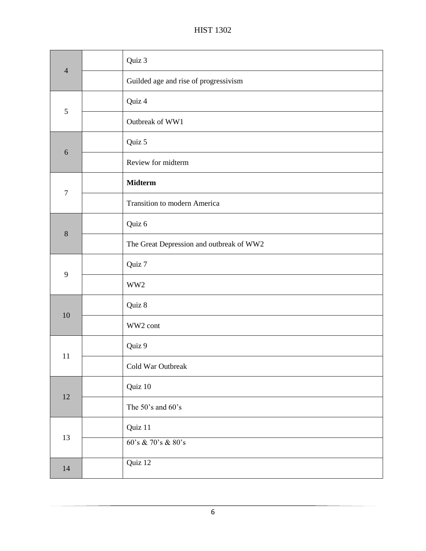| $\overline{4}$ | Quiz 3                                   |
|----------------|------------------------------------------|
|                | Guilded age and rise of progressivism    |
| $\mathfrak{S}$ | Quiz 4                                   |
|                | Outbreak of WW1                          |
| 6              | Quiz 5                                   |
|                | Review for midterm                       |
| $\overline{7}$ | <b>Midterm</b>                           |
|                | Transition to modern America             |
|                | Quiz 6                                   |
| $8\phantom{1}$ | The Great Depression and outbreak of WW2 |
|                | Quiz 7                                   |
| 9              | WW2                                      |
|                | Quiz 8                                   |
| 10             | WW2 cont                                 |
| 11             | Quiz 9                                   |
|                | Cold War Outbreak                        |
| 12             | Quiz 10                                  |
|                | The 50's and 60's                        |
| 13             | Quiz 11                                  |
|                | 60's & 70's & 80's                       |
| 14             | Quiz 12                                  |